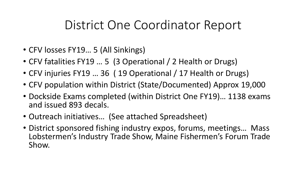## District One Coordinator Report

- CFV losses FY19… 5 (All Sinkings)
- CFV fatalities FY19 ... 5 (3 Operational / 2 Health or Drugs)
- CFV injuries FY19 … 36 ( 19 Operational / 17 Health or Drugs)
- CFV population within District (State/Documented) Approx 19,000
- Dockside Exams completed (within District One FY19)… 1138 exams and issued 893 decals.
- Outreach initiatives… (See attached Spreadsheet)
- District sponsored fishing industry expos, forums, meetings… Mass Lobstermen's Industry Trade Show, Maine Fishermen's Forum Trade Show.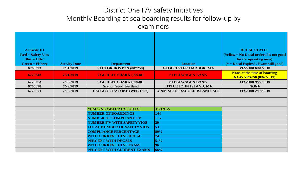## District One F/V Safety Initiatives Monthly Boarding at sea boarding results for follow-up by examiners

| <b>Actrivity ID</b>           |                      |                                     |                              | <b>DECAL STATUS</b>                     |
|-------------------------------|----------------------|-------------------------------------|------------------------------|-----------------------------------------|
| $\bf{Red} = \bf{Safety}$ Vios |                      |                                     |                              | (Yellow = No Decal or decal is not good |
| $Blue = Other$                |                      |                                     |                              | for the operating area)                 |
| $Green = Fishery$             | <b>Activity Date</b> | <b>Department</b>                   | <b>Location</b>              | $(* = Decal Exping / Exam still good)$  |
| 6768593                       | 7/31/2019            | SECTOR BOSTON (007259)              | <b>GLOUCESTER HARBOR, MA</b> | YES>100 6/01/2018                       |
| 6770348                       | 7/21/2019            | <b>CGC REEF SHARK (009381)</b>      | <b>STELLWAGEN BANK</b>       | None at the time of boarding            |
|                               |                      |                                     |                              | <b>NOW YES&lt;50 (8/02/2019)</b>        |
| 6770363                       | 7/20/2019            | CGC REEF SHARK (009381              | <b>STELLWAGEN BANK</b>       | YES>100 9/22/2019                       |
| 6766898                       | 7/29/2019            | <b>Station South Portland</b>       | LITTLE JOHN ISLAND, ME       | <b>NONE</b>                             |
| 6773671                       | 7/22/2019            | <b>USCGC OCRACOKE (WPB 1307)</b>    | 4 NM SE OF RAGGED ISLAND, ME | YES>100 2/18/2019                       |
|                               |                      |                                     |                              |                                         |
|                               |                      |                                     |                              |                                         |
|                               |                      |                                     |                              |                                         |
|                               |                      | <b>MISLE &amp; CGBI DATA FOR D1</b> | <b>TOTALS</b>                |                                         |
|                               |                      | <b>NUMBER OF BOARDINGS</b>          | 144                          |                                         |
|                               |                      | <b>NUMBER OF COMPLIANT F/V</b>      | 115                          |                                         |
|                               |                      | <b>NUMBER F/V WITH SAFETY VIOS</b>  | 29                           |                                         |
|                               |                      | <b>TOTAL NUMBER OF SAFETY VIOS</b>  | 53                           |                                         |
|                               |                      | <b>COMPLIANCE PERCENTAGE</b>        | 80%                          |                                         |
|                               |                      | <b>WITH CURRENT CFVS DECAL</b>      | 74                           |                                         |
|                               |                      | <b>PERCENT WITH DECALS</b>          | 51%                          |                                         |
|                               |                      | <b>WITH CURRENT CFVS EXAM</b>       | 96                           |                                         |
|                               |                      | PERCENT WITH CURRENT EXAMS          | 66%                          |                                         |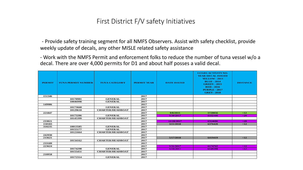## First District F/V safety Initiatives

- Provide safety training segment for all NMFS Observers. Assist with safety checklist, provide weekly update of decals, any other MISLE related safety assistance

- Work with the NMFS Permit and enforcement folks to reduce the number of tuna vessel w/o a decal. There are over 4,000 permits for D1 and about half posses a valid decal.

| <b>PERMIT</b> | <b>TUNA PERMIT NUMBER</b> | <b>TUNA CATEGORY</b>    | <b>PERMIT YEAR</b> | <b>DATE ISSUED</b> | <b>CCGD1 ACTIVITY NO.</b><br><b>YEAR DECAL ISSUED</b><br><b>YELLOW - 2013</b><br><b>BLUE - 2014</b><br><b>GREEN - 2015</b><br><b>RED - 2016</b><br><b>PURPLE - 2017</b><br><b>GREY - 2018</b> | <b>DISTANCE</b> |
|---------------|---------------------------|-------------------------|--------------------|--------------------|-----------------------------------------------------------------------------------------------------------------------------------------------------------------------------------------------|-----------------|
| 151346        |                           |                         | 2017               |                    |                                                                                                                                                                                               |                 |
|               | 10170981                  | <b>GENERAL</b>          | 2017               |                    |                                                                                                                                                                                               |                 |
|               | 10046990                  | <b>GENERAL</b>          | 2017               |                    |                                                                                                                                                                                               |                 |
| 149986        |                           |                         | 2017               |                    |                                                                                                                                                                                               |                 |
|               | 10173668                  | <b>GENERAL</b>          | 2017               |                    |                                                                                                                                                                                               |                 |
|               | 10129610                  | <b>CHARTER/HEADBOAT</b> | 2017               |                    |                                                                                                                                                                                               |                 |
| 221847        |                           |                         | 2017               | 9/8/2015           | 5720056                                                                                                                                                                                       | $\leq 12$       |
|               | 10173286                  | <b>GENERAL</b>          | 2017               | 5/30/2017          | 6162440                                                                                                                                                                                       | $20$            |
|               | 10145399                  | <b>CHARTER/HEADBOAT</b> | 2017               |                    |                                                                                                                                                                                               |                 |
| 233821        |                           |                         | 2017               | 11/28/2017         | 6314686                                                                                                                                                                                       | <20             |
| 150183        |                           |                         | 2017               | 3/21/2018          | 6376420                                                                                                                                                                                       | <12             |
| 310235        | 10013585                  | <b>GENERAL</b>          | 2017               |                    |                                                                                                                                                                                               |                 |
|               | 10155177                  | <b>GENERAL</b>          | 2017               |                    |                                                                                                                                                                                               |                 |
|               | 10121664                  | <b>CHARTER/HEADBOAT</b> | 2017               |                    |                                                                                                                                                                                               |                 |
| 242930        |                           |                         | 2017               |                    |                                                                                                                                                                                               |                 |
| 233621        |                           |                         | 2017               | 5/17/2018          | 6419419                                                                                                                                                                                       | <12             |
|               | 10134162                  | <b>CHARTER/HEADBOAT</b> | 2017               |                    |                                                                                                                                                                                               |                 |
| 233189        |                           |                         | 2017               |                    |                                                                                                                                                                                               |                 |
| 223624        |                           |                         | 2017               | 5/31/2017          | 6174765                                                                                                                                                                                       | $\leq 12$       |
|               | 10174298                  | <b>GENERAL</b>          | 2017               | 5/18/2017          | 6149398                                                                                                                                                                                       | $\leq 12$       |
|               | 10155451                  | <b>CHARTER/HEADBOAT</b> | 2017               |                    |                                                                                                                                                                                               |                 |
| 210958        |                           |                         | 2017               |                    |                                                                                                                                                                                               |                 |
|               | 10172314                  | <b>GENERAL</b>          | 2017               |                    |                                                                                                                                                                                               |                 |